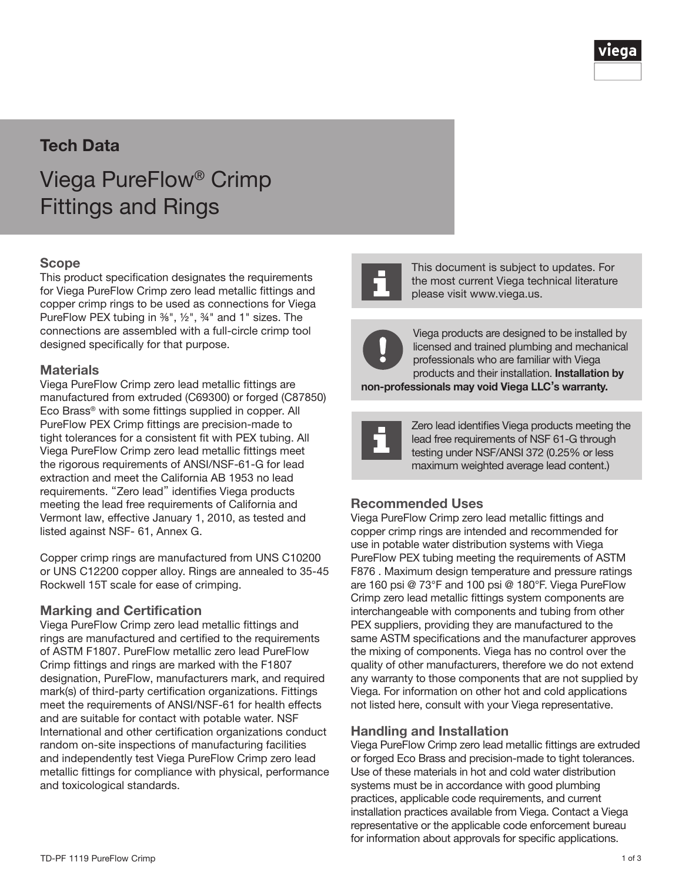

## Tech Data

# Viega PureFlow® Crimp Fittings and Rings

#### Scope

This product specification designates the requirements for Viega PureFlow Crimp zero lead metallic fittings and copper crimp rings to be used as connections for Viega PureFlow PEX tubing in <sup>36"</sup>, <sup>1/2</sup>", <sup>34</sup>" and 1" sizes. The connections are assembled with a full-circle crimp tool designed specifically for that purpose.

#### Materials

Viega PureFlow Crimp zero lead metallic fittings are manufactured from extruded (C69300) or forged (C87850) Eco Brass® with some fittings supplied in copper. All PureFlow PEX Crimp fittings are precision-made to tight tolerances for a consistent fit with PEX tubing. All Viega PureFlow Crimp zero lead metallic fittings meet the rigorous requirements of ANSI/NSF-61-G for lead extraction and meet the California AB 1953 no lead requirements. "Zero lead" identifies Viega products meeting the lead free requirements of California and Vermont law, effective January 1, 2010, as tested and listed against NSF- 61, Annex G.

Copper crimp rings are manufactured from UNS C10200 or UNS C12200 copper alloy. Rings are annealed to 35-45 Rockwell 15T scale for ease of crimping.

#### Marking and Certification

Viega PureFlow Crimp zero lead metallic fittings and rings are manufactured and certified to the requirements of ASTM F1807. PureFlow metallic zero lead PureFlow Crimp fittings and rings are marked with the F1807 designation, PureFlow, manufacturers mark, and required mark(s) of third-party certification organizations. Fittings meet the requirements of ANSI/NSF-61 for health effects and are suitable for contact with potable water. NSF International and other certification organizations conduct random on-site inspections of manufacturing facilities and independently test Viega PureFlow Crimp zero lead metallic fittings for compliance with physical, performance and toxicological standards.



This document is subject to updates. For the most current Viega technical literature please visit www.viega.us.



Viega products are designed to be installed by licensed and trained plumbing and mechanical professionals who are familiar with Viega products and their installation. Installation by

non-professionals may void Viega LLC's warranty.



Zero lead identifies Viega products meeting the lead free requirements of NSF 61-G through testing under NSF/ANSI 372 (0.25% or less maximum weighted average lead content.)

#### Recommended Uses

Viega PureFlow Crimp zero lead metallic fittings and copper crimp rings are intended and recommended for use in potable water distribution systems with Viega PureFlow PEX tubing meeting the requirements of ASTM F876 . Maximum design temperature and pressure ratings are 160 psi @ 73°F and 100 psi @ 180°F. Viega PureFlow Crimp zero lead metallic fittings system components are interchangeable with components and tubing from other PEX suppliers, providing they are manufactured to the same ASTM specifications and the manufacturer approves the mixing of components. Viega has no control over the quality of other manufacturers, therefore we do not extend any warranty to those components that are not supplied by Viega. For information on other hot and cold applications not listed here, consult with your Viega representative.

#### Handling and Installation

Viega PureFlow Crimp zero lead metallic fittings are extruded or forged Eco Brass and precision-made to tight tolerances. Use of these materials in hot and cold water distribution systems must be in accordance with good plumbing practices, applicable code requirements, and current installation practices available from Viega. Contact a Viega representative or the applicable code enforcement bureau for information about approvals for specific applications.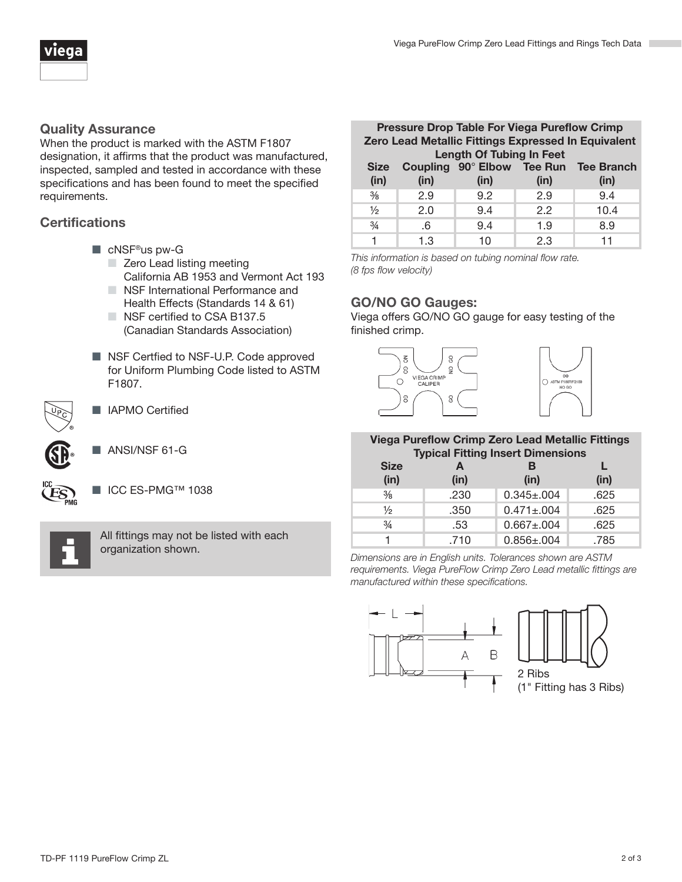

#### Quality Assurance

When the product is marked with the ASTM F1807 designation, it affirms that the product was manufactured, inspected, sampled and tested in accordance with these specifications and has been found to meet the specified requirements.

### **Certifications**

- cNSF<sup>®</sup>us pw-G
	- Zero Lead listing meeting California AB 1953 and Vermont Act 193
	- NSF International Performance and Health Effects (Standards 14 & 61)
	- NSF certified to CSA B137.5 (Canadian Standards Association)
- NSF Certfied to NSF-U.P. Code approved for Uniform Plumbing Code listed to ASTM F1807.



- IAPMO Certified
- ANSI/NSF 61-G



■ ICC ES-PMG™ 1038



All fittings may not be listed with each organization shown.

| <b>Pressure Drop Table For Viega Pureflow Crimp</b> |      |      |      |                                       |  |  |
|-----------------------------------------------------|------|------|------|---------------------------------------|--|--|
| Zero Lead Metallic Fittings Expressed In Equivalent |      |      |      |                                       |  |  |
| <b>Length Of Tubing In Feet</b>                     |      |      |      |                                       |  |  |
| <b>Size</b>                                         |      |      |      | Coupling 90° Elbow Tee Run Tee Branch |  |  |
| (in)                                                | (in) | (in) | (in) | (in)                                  |  |  |
| $\frac{3}{8}$                                       | 2.9  | 9.2  | 2.9  | 9.4                                   |  |  |
| $\frac{1}{2}$                                       | 2.0  | 9.4  | 2.2  | 10.4                                  |  |  |
| $\frac{3}{4}$                                       | .6   | 9.4  | 1.9  | 8.9                                   |  |  |
|                                                     | 1.3  | 10   | 2.3  | 11                                    |  |  |

*This information is based on tubing nominal flow rate. (8 fps flow velocity)*

### GO/NO GO Gauges:

Viega offers GO/NO GO gauge for easy testing of the finished crimp.



#### Viega Pureflow Crimp Zero Lead Metallic Fittings Typical Fitting Insert Dimensions

| <b>Size</b><br>(in) | (in) | <b>I</b> Thomas I Relig Inoche Difficitoiono<br>в<br>(in) | (in) |
|---------------------|------|-----------------------------------------------------------|------|
| $\frac{3}{8}$       | .230 | $0.345 \pm 0.004$                                         | .625 |
| $\frac{1}{2}$       | .350 | $0.471 \pm 0.004$                                         | .625 |
| $\frac{3}{4}$       | .53  | $0.667 \pm 0.004$                                         | .625 |
|                     | .710 | $0.856 \pm 0.004$                                         | .785 |

*Dimensions are in English units. Tolerances shown are ASTM requirements. Viega PureFlow Crimp Zero Lead metallic fittings are manufactured within these specifications.*